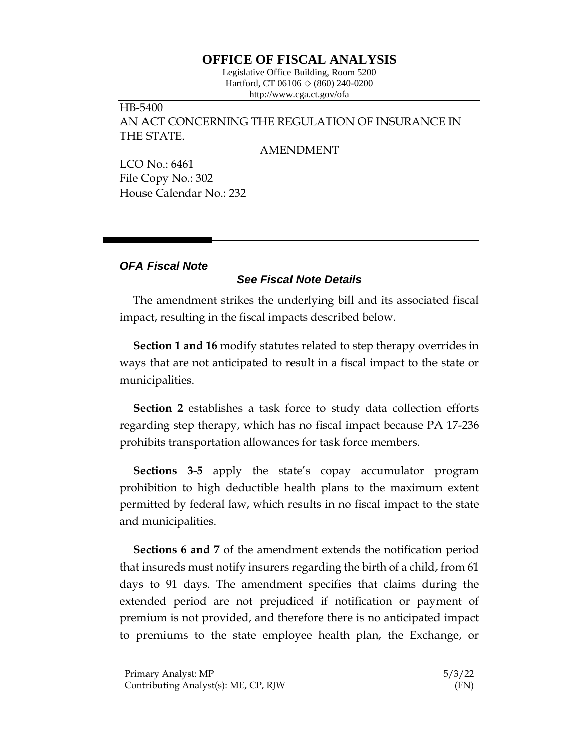## **OFFICE OF FISCAL ANALYSIS**

Legislative Office Building, Room 5200 Hartford, CT 06106  $\Diamond$  (860) 240-0200 http://www.cga.ct.gov/ofa

HB-5400 AN ACT CONCERNING THE REGULATION OF INSURANCE IN THE STATE.

## AMENDMENT

LCO No.: 6461 File Copy No.: 302 House Calendar No.: 232

## *OFA Fiscal Note*

## *See Fiscal Note Details*

The amendment strikes the underlying bill and its associated fiscal impact, resulting in the fiscal impacts described below.

**Section 1 and 16** modify statutes related to step therapy overrides in ways that are not anticipated to result in a fiscal impact to the state or municipalities.

**Section 2** establishes a task force to study data collection efforts regarding step therapy, which has no fiscal impact because PA 17-236 prohibits transportation allowances for task force members.

**Sections 3-5** apply the state's copay accumulator program prohibition to high deductible health plans to the maximum extent permitted by federal law, which results in no fiscal impact to the state and municipalities.

**Sections 6 and 7** of the amendment extends the notification period that insureds must notify insurers regarding the birth of a child, from 61 days to 91 days. The amendment specifies that claims during the extended period are not prejudiced if notification or payment of premium is not provided, and therefore there is no anticipated impact to premiums to the state employee health plan, the Exchange, or